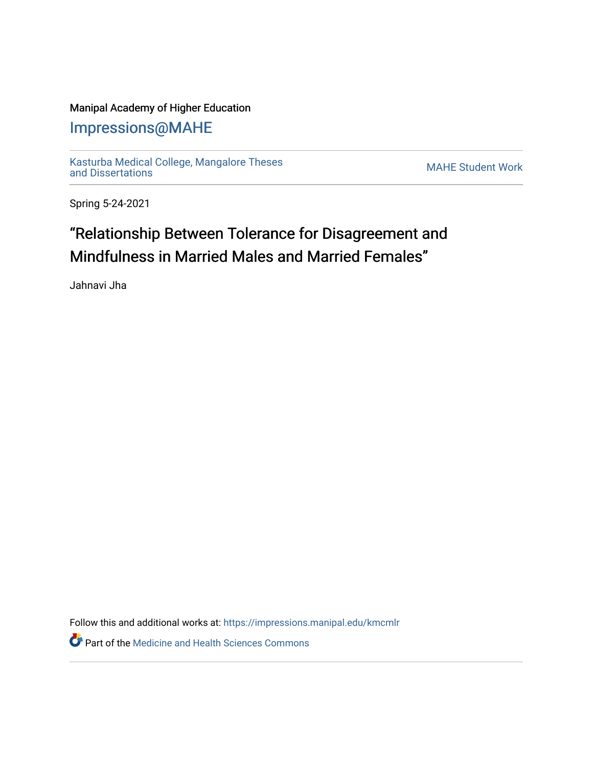### Manipal Academy of Higher Education

## [Impressions@MAHE](https://impressions.manipal.edu/)

[Kasturba Medical College, Mangalore Theses](https://impressions.manipal.edu/kmcmlr) [and Dissertations](https://impressions.manipal.edu/kmcmlr) [MAHE Student Work](https://impressions.manipal.edu/student-work) 

Spring 5-24-2021

# "Relationship Between Tolerance for Disagreement and Mindfulness in Married Males and Married Females"

Jahnavi Jha

Follow this and additional works at: [https://impressions.manipal.edu/kmcmlr](https://impressions.manipal.edu/kmcmlr?utm_source=impressions.manipal.edu%2Fkmcmlr%2F182&utm_medium=PDF&utm_campaign=PDFCoverPages) 

**Part of the Medicine and Health Sciences Commons**